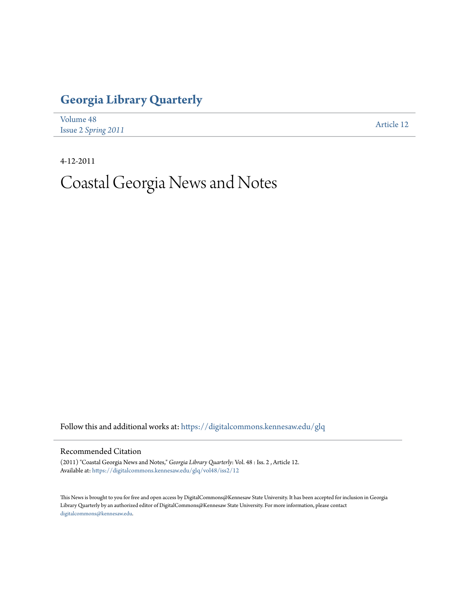## **[Georgia Library Quarterly](https://digitalcommons.kennesaw.edu/glq?utm_source=digitalcommons.kennesaw.edu%2Fglq%2Fvol48%2Fiss2%2F12&utm_medium=PDF&utm_campaign=PDFCoverPages)**

| Volume 48           | Article 12 |
|---------------------|------------|
| Issue 2 Spring 2011 |            |

4-12-2011

# Coastal Georgia News and Notes

Follow this and additional works at: [https://digitalcommons.kennesaw.edu/glq](https://digitalcommons.kennesaw.edu/glq?utm_source=digitalcommons.kennesaw.edu%2Fglq%2Fvol48%2Fiss2%2F12&utm_medium=PDF&utm_campaign=PDFCoverPages)

#### Recommended Citation

(2011) "Coastal Georgia News and Notes," *Georgia Library Quarterly*: Vol. 48 : Iss. 2 , Article 12. Available at: [https://digitalcommons.kennesaw.edu/glq/vol48/iss2/12](https://digitalcommons.kennesaw.edu/glq/vol48/iss2/12?utm_source=digitalcommons.kennesaw.edu%2Fglq%2Fvol48%2Fiss2%2F12&utm_medium=PDF&utm_campaign=PDFCoverPages)

This News is brought to you for free and open access by DigitalCommons@Kennesaw State University. It has been accepted for inclusion in Georgia Library Quarterly by an authorized editor of DigitalCommons@Kennesaw State University. For more information, please contact [digitalcommons@kennesaw.edu.](mailto:digitalcommons@kennesaw.edu)